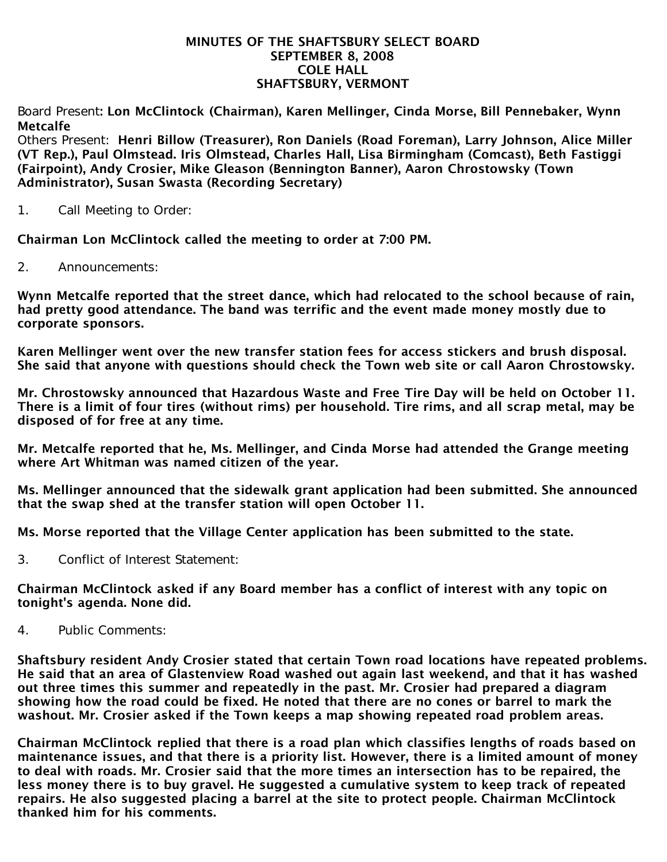#### MINUTES OF THE SHAFTSBURY SELECT BOARD SEPTEMBER 8, 2008 COLE HALL SHAFTSBURY, VERMONT

Board Present: Lon McClintock (Chairman), Karen Mellinger, Cinda Morse, Bill Pennebaker, Wynn Metcalfe

Others Present: Henri Billow (Treasurer), Ron Daniels (Road Foreman), Larry Johnson, Alice Miller (VT Rep.), Paul Olmstead. Iris Olmstead, Charles Hall, Lisa Birmingham (Comcast), Beth Fastiggi (Fairpoint), Andy Crosier, Mike Gleason (Bennington Banner), Aaron Chrostowsky (Town Administrator), Susan Swasta (Recording Secretary)

1. Call Meeting to Order:

Chairman Lon McClintock called the meeting to order at 7:00 PM.

2. Announcements:

Wynn Metcalfe reported that the street dance, which had relocated to the school because of rain, had pretty good attendance. The band was terrific and the event made money mostly due to corporate sponsors.

Karen Mellinger went over the new transfer station fees for access stickers and brush disposal. She said that anyone with questions should check the Town web site or call Aaron Chrostowsky.

Mr. Chrostowsky announced that Hazardous Waste and Free Tire Day will be held on October 11. There is a limit of four tires (without rims) per household. Tire rims, and all scrap metal, may be disposed of for free at any time.

Mr. Metcalfe reported that he, Ms. Mellinger, and Cinda Morse had attended the Grange meeting where Art Whitman was named citizen of the year.

Ms. Mellinger announced that the sidewalk grant application had been submitted. She announced that the swap shed at the transfer station will open October 11.

Ms. Morse reported that the Village Center application has been submitted to the state.

3. Conflict of Interest Statement:

Chairman McClintock asked if any Board member has a conflict of interest with any topic on tonight's agenda. None did.

4. Public Comments:

Shaftsbury resident Andy Crosier stated that certain Town road locations have repeated problems. He said that an area of Glastenview Road washed out again last weekend, and that it has washed out three times this summer and repeatedly in the past. Mr. Crosier had prepared a diagram showing how the road could be fixed. He noted that there are no cones or barrel to mark the washout. Mr. Crosier asked if the Town keeps a map showing repeated road problem areas.

Chairman McClintock replied that there is a road plan which classifies lengths of roads based on maintenance issues, and that there is a priority list. However, there is a limited amount of money to deal with roads. Mr. Crosier said that the more times an intersection has to be repaired, the less money there is to buy gravel. He suggested a cumulative system to keep track of repeated repairs. He also suggested placing a barrel at the site to protect people. Chairman McClintock thanked him for his comments.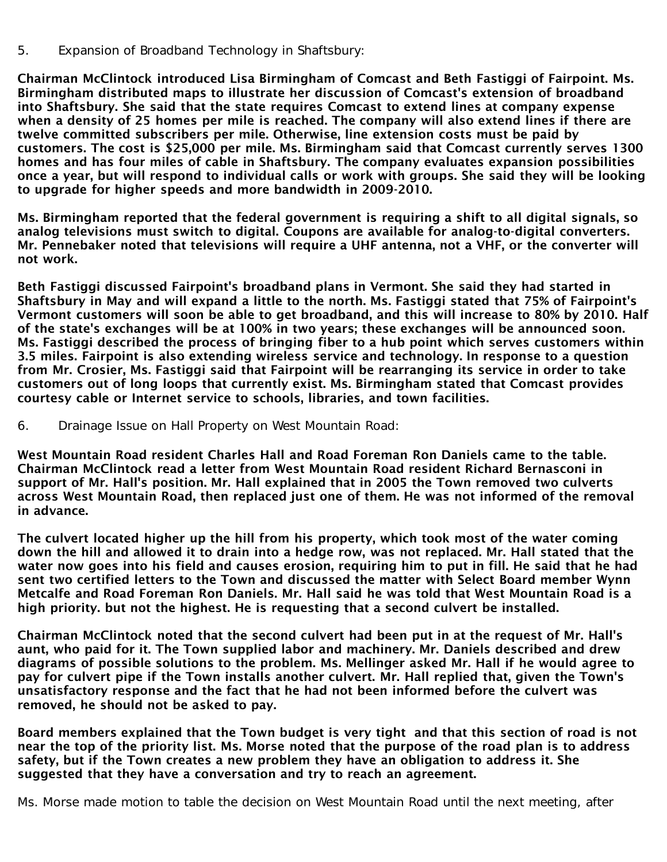5. Expansion of Broadband Technology in Shaftsbury:

Chairman McClintock introduced Lisa Birmingham of Comcast and Beth Fastiggi of Fairpoint. Ms. Birmingham distributed maps to illustrate her discussion of Comcast's extension of broadband into Shaftsbury. She said that the state requires Comcast to extend lines at company expense when a density of 25 homes per mile is reached. The company will also extend lines if there are twelve committed subscribers per mile. Otherwise, line extension costs must be paid by customers. The cost is \$25,000 per mile. Ms. Birmingham said that Comcast currently serves 1300 homes and has four miles of cable in Shaftsbury. The company evaluates expansion possibilities once a year, but will respond to individual calls or work with groups. She said they will be looking to upgrade for higher speeds and more bandwidth in 2009-2010.

Ms. Birmingham reported that the federal government is requiring a shift to all digital signals, so analog televisions must switch to digital. Coupons are available for analog-to-digital converters. Mr. Pennebaker noted that televisions will require a UHF antenna, not a VHF, or the converter will not work.

Beth Fastiggi discussed Fairpoint's broadband plans in Vermont. She said they had started in Shaftsbury in May and will expand a little to the north. Ms. Fastiggi stated that 75% of Fairpoint's Vermont customers will soon be able to get broadband, and this will increase to 80% by 2010. Half of the state's exchanges will be at 100% in two years; these exchanges will be announced soon. Ms. Fastiggi described the process of bringing fiber to a hub point which serves customers within 3.5 miles. Fairpoint is also extending wireless service and technology. In response to a question from Mr. Crosier, Ms. Fastiggi said that Fairpoint will be rearranging its service in order to take customers out of long loops that currently exist. Ms. Birmingham stated that Comcast provides courtesy cable or Internet service to schools, libraries, and town facilities.

6. Drainage Issue on Hall Property on West Mountain Road:

West Mountain Road resident Charles Hall and Road Foreman Ron Daniels came to the table. Chairman McClintock read a letter from West Mountain Road resident Richard Bernasconi in support of Mr. Hall's position. Mr. Hall explained that in 2005 the Town removed two culverts across West Mountain Road, then replaced just one of them. He was not informed of the removal in advance.

The culvert located higher up the hill from his property, which took most of the water coming down the hill and allowed it to drain into a hedge row, was not replaced. Mr. Hall stated that the water now goes into his field and causes erosion, requiring him to put in fill. He said that he had sent two certified letters to the Town and discussed the matter with Select Board member Wynn Metcalfe and Road Foreman Ron Daniels. Mr. Hall said he was told that West Mountain Road is a high priority. but not the highest. He is requesting that a second culvert be installed.

Chairman McClintock noted that the second culvert had been put in at the request of Mr. Hall's aunt, who paid for it. The Town supplied labor and machinery. Mr. Daniels described and drew diagrams of possible solutions to the problem. Ms. Mellinger asked Mr. Hall if he would agree to pay for culvert pipe if the Town installs another culvert. Mr. Hall replied that, given the Town's unsatisfactory response and the fact that he had not been informed before the culvert was removed, he should not be asked to pay.

Board members explained that the Town budget is very tight and that this section of road is not near the top of the priority list. Ms. Morse noted that the purpose of the road plan is to address safety, but if the Town creates a new problem they have an obligation to address it. She suggested that they have a conversation and try to reach an agreement.

Ms. Morse made motion to table the decision on West Mountain Road until the next meeting, after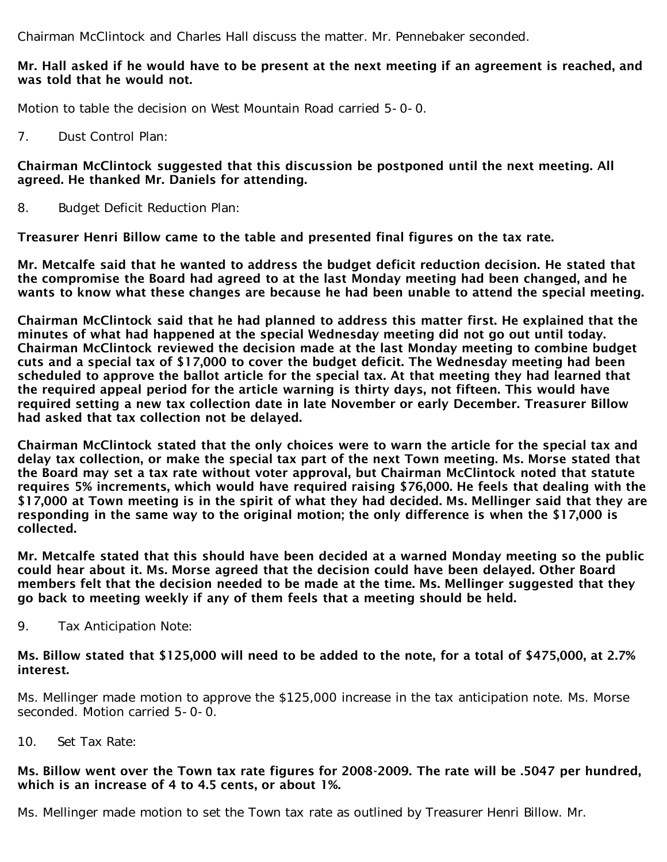Chairman McClintock and Charles Hall discuss the matter. Mr. Pennebaker seconded.

## Mr. Hall asked if he would have to be present at the next meeting if an agreement is reached, and was told that he would not.

Motion to table the decision on West Mountain Road carried 5-0-0.

7. Dust Control Plan:

Chairman McClintock suggested that this discussion be postponed until the next meeting. All agreed. He thanked Mr. Daniels for attending.

8. Budget Deficit Reduction Plan:

Treasurer Henri Billow came to the table and presented final figures on the tax rate.

Mr. Metcalfe said that he wanted to address the budget deficit reduction decision. He stated that the compromise the Board had agreed to at the last Monday meeting had been changed, and he wants to know what these changes are because he had been unable to attend the special meeting.

Chairman McClintock said that he had planned to address this matter first. He explained that the minutes of what had happened at the special Wednesday meeting did not go out until today. Chairman McClintock reviewed the decision made at the last Monday meeting to combine budget cuts and a special tax of \$17,000 to cover the budget deficit. The Wednesday meeting had been scheduled to approve the ballot article for the special tax. At that meeting they had learned that the required appeal period for the article warning is thirty days, not fifteen. This would have required setting a new tax collection date in late November or early December. Treasurer Billow had asked that tax collection not be delayed.

Chairman McClintock stated that the only choices were to warn the article for the special tax and delay tax collection, or make the special tax part of the next Town meeting. Ms. Morse stated that the Board may set a tax rate without voter approval, but Chairman McClintock noted that statute requires 5% increments, which would have required raising \$76,000. He feels that dealing with the \$17,000 at Town meeting is in the spirit of what they had decided. Ms. Mellinger said that they are responding in the same way to the original motion; the only difference is when the \$17,000 is collected.

Mr. Metcalfe stated that this should have been decided at a warned Monday meeting so the public could hear about it. Ms. Morse agreed that the decision could have been delayed. Other Board members felt that the decision needed to be made at the time. Ms. Mellinger suggested that they go back to meeting weekly if any of them feels that a meeting should be held.

9. Tax Anticipation Note:

## Ms. Billow stated that \$125,000 will need to be added to the note, for a total of \$475,000, at 2.7% interest.

Ms. Mellinger made motion to approve the \$125,000 increase in the tax anticipation note. Ms. Morse seconded. Motion carried 5-0-0.

10. Set Tax Rate:

## Ms. Billow went over the Town tax rate figures for 2008-2009. The rate will be .5047 per hundred, which is an increase of 4 to 4.5 cents, or about 1%.

Ms. Mellinger made motion to set the Town tax rate as outlined by Treasurer Henri Billow. Mr.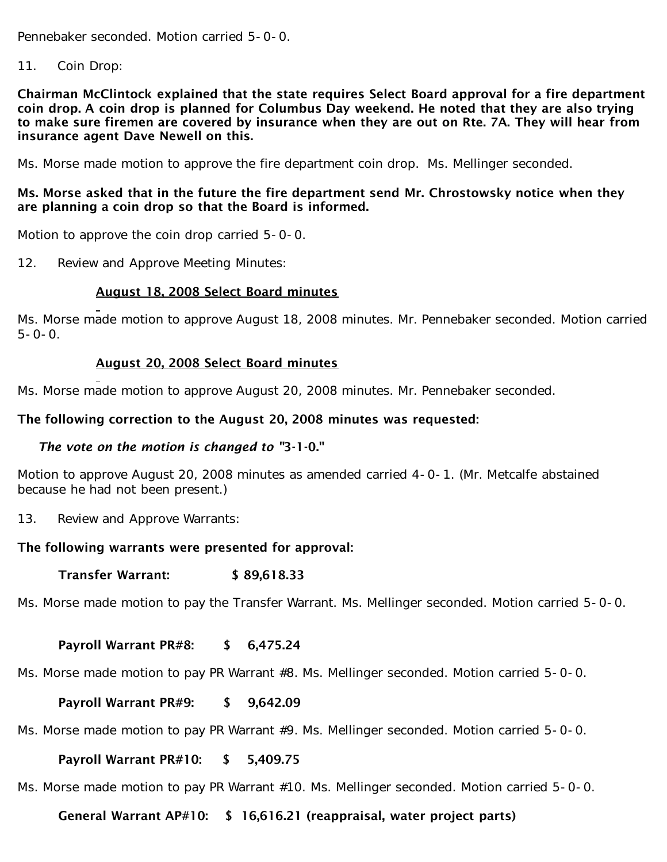Pennebaker seconded. Motion carried 5-0-0.

11. Coin Drop:

Chairman McClintock explained that the state requires Select Board approval for a fire department coin drop. A coin drop is planned for Columbus Day weekend. He noted that they are also trying to make sure firemen are covered by insurance when they are out on Rte. 7A. They will hear from insurance agent Dave Newell on this.

Ms. Morse made motion to approve the fire department coin drop. Ms. Mellinger seconded.

## Ms. Morse asked that in the future the fire department send Mr. Chrostowsky notice when they are planning a coin drop so that the Board is informed.

Motion to approve the coin drop carried 5-0-0.

12. Review and Approve Meeting Minutes:

# August 18, 2008 Select Board minutes

Ms. Morse made motion to approve August 18, 2008 minutes. Mr. Pennebaker seconded. Motion carried  $5 - 0 - 0$ .

## August 20, 2008 Select Board minutes

Ms. Morse made motion to approve August 20, 2008 minutes. Mr. Pennebaker seconded.

## The following correction to the August 20, 2008 minutes was requested:

### *The vote on the motion is changed to "*3-1-0."

Motion to approve August 20, 2008 minutes as amended carried 4-0-1. (Mr. Metcalfe abstained because he had not been present.)

13. Review and Approve Warrants:

# The following warrants were presented for approval:

Transfer Warrant: \$ 89,618.33

Ms. Morse made motion to pay the Transfer Warrant. Ms. Mellinger seconded. Motion carried 5-0-0.

# Payroll Warrant PR#8: \$ 6,475.24

Ms. Morse made motion to pay PR Warrant #8. Ms. Mellinger seconded. Motion carried 5-0-0.

### Payroll Warrant PR#9: \$ 9,642.09

Ms. Morse made motion to pay PR Warrant #9. Ms. Mellinger seconded. Motion carried 5-0-0.

### Payroll Warrant PR#10: \$ 5,409.75

Ms. Morse made motion to pay PR Warrant #10. Ms. Mellinger seconded. Motion carried 5-0-0.

## General Warrant AP#10: \$ 16,616.21 (reappraisal, water project parts)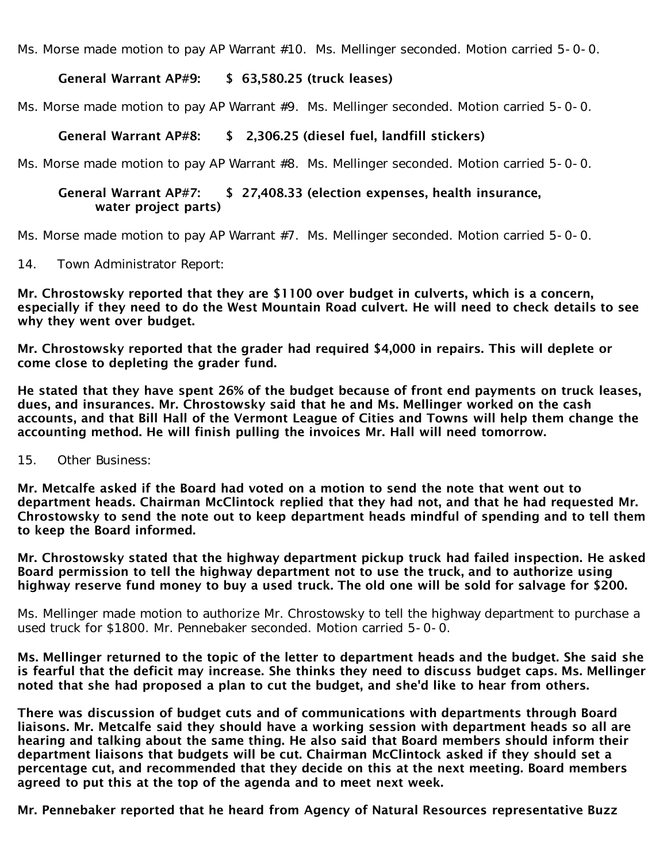Ms. Morse made motion to pay AP Warrant #10. Ms. Mellinger seconded. Motion carried 5-0-0.

#### General Warrant AP#9: \$ 63.580.25 (truck leases)

Ms. Morse made motion to pay AP Warrant #9. Ms. Mellinger seconded. Motion carried 5-0-0.

### General Warrant AP#8: \$ 2,306.25 (diesel fuel, landfill stickers)

Ms. Morse made motion to pay AP Warrant #8. Ms. Mellinger seconded. Motion carried 5-0-0.

### General Warrant AP#7: \$ 27,408.33 (election expenses, health insurance, water project parts)

Ms. Morse made motion to pay AP Warrant #7. Ms. Mellinger seconded. Motion carried 5-0-0.

14. Town Administrator Report:

Mr. Chrostowsky reported that they are \$1100 over budget in culverts, which is a concern, especially if they need to do the West Mountain Road culvert. He will need to check details to see why they went over budget.

Mr. Chrostowsky reported that the grader had required \$4,000 in repairs. This will deplete or come close to depleting the grader fund.

He stated that they have spent 26% of the budget because of front end payments on truck leases, dues, and insurances. Mr. Chrostowsky said that he and Ms. Mellinger worked on the cash accounts, and that Bill Hall of the Vermont League of Cities and Towns will help them change the accounting method. He will finish pulling the invoices Mr. Hall will need tomorrow.

#### 15. Other Business:

Mr. Metcalfe asked if the Board had voted on a motion to send the note that went out to department heads. Chairman McClintock replied that they had not, and that he had requested Mr. Chrostowsky to send the note out to keep department heads mindful of spending and to tell them to keep the Board informed.

Mr. Chrostowsky stated that the highway department pickup truck had failed inspection. He asked Board permission to tell the highway department not to use the truck, and to authorize using highway reserve fund money to buy a used truck. The old one will be sold for salvage for \$200.

Ms. Mellinger made motion to authorize Mr. Chrostowsky to tell the highway department to purchase a used truck for \$1800. Mr. Pennebaker seconded. Motion carried 5-0-0.

Ms. Mellinger returned to the topic of the letter to department heads and the budget. She said she is fearful that the deficit may increase. She thinks they need to discuss budget caps. Ms. Mellinger noted that she had proposed a plan to cut the budget, and she'd like to hear from others.

There was discussion of budget cuts and of communications with departments through Board liaisons. Mr. Metcalfe said they should have a working session with department heads so all are hearing and talking about the same thing. He also said that Board members should inform their department liaisons that budgets will be cut. Chairman McClintock asked if they should set a percentage cut, and recommended that they decide on this at the next meeting. Board members agreed to put this at the top of the agenda and to meet next week.

Mr. Pennebaker reported that he heard from Agency of Natural Resources representative Buzz